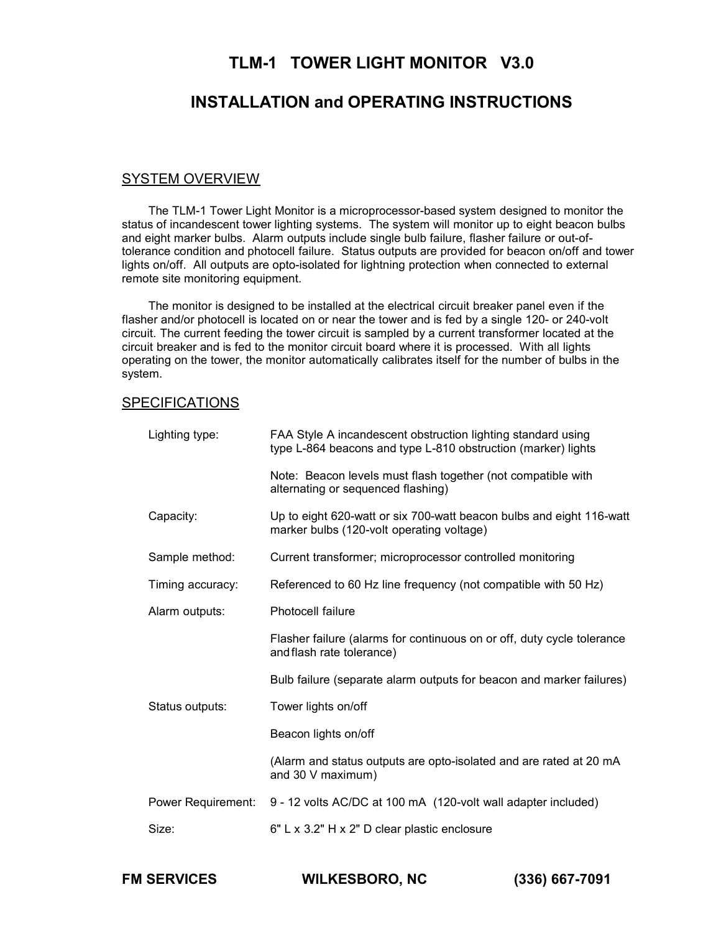# **TLM-1 TOWER LIGHT MONITOR V3.0**

# **INSTALLATION and OPERATING INSTRUCTIONS**

#### SYSTEM OVERVIEW

The TLM-1 Tower Light Monitor is a microprocessor-based system designed to monitor the status of incandescent tower lighting systems. The system will monitor up to eight beacon bulbs and eight marker bulbs. Alarm outputs include single bulb failure, flasher failure or out-oftolerance condition and photocell failure. Status outputs are provided for beacon on/off and tower lights on/off. All outputs are opto-isolated for lightning protection when connected to external remote site monitoring equipment.

The monitor is designed to be installed at the electrical circuit breaker panel even if the flasher and/or photocell is located on or near the tower and is fed by a single 120- or 240-volt circuit. The current feeding the tower circuit is sampled by a current transformer located at the circuit breaker and is fed to the monitor circuit board where it is processed. With all lights operating on the tower, the monitor automatically calibrates itself for the number of bulbs in the system.

#### **SPECIFICATIONS**

| Lighting type:     | FAA Style A incandescent obstruction lighting standard using<br>type L-864 beacons and type L-810 obstruction (marker) lights |  |  |  |
|--------------------|-------------------------------------------------------------------------------------------------------------------------------|--|--|--|
|                    | Note: Beacon levels must flash together (not compatible with<br>alternating or sequenced flashing)                            |  |  |  |
| Capacity:          | Up to eight 620-watt or six 700-watt beacon bulbs and eight 116-watt<br>marker bulbs (120-volt operating voltage)             |  |  |  |
| Sample method:     | Current transformer; microprocessor controlled monitoring                                                                     |  |  |  |
| Timing accuracy:   | Referenced to 60 Hz line frequency (not compatible with 50 Hz)                                                                |  |  |  |
| Alarm outputs:     | <b>Photocell failure</b>                                                                                                      |  |  |  |
|                    | Flasher failure (alarms for continuous on or off, duty cycle tolerance<br>and flash rate tolerance)                           |  |  |  |
|                    | Bulb failure (separate alarm outputs for beacon and marker failures)                                                          |  |  |  |
| Status outputs:    | Tower lights on/off                                                                                                           |  |  |  |
|                    | Beacon lights on/off                                                                                                          |  |  |  |
|                    | (Alarm and status outputs are opto-isolated and are rated at 20 mA<br>and 30 V maximum)                                       |  |  |  |
| Power Requirement: | 9 - 12 volts AC/DC at 100 mA (120-volt wall adapter included)                                                                 |  |  |  |
| Size:              | 6" L x 3.2" H x 2" D clear plastic enclosure                                                                                  |  |  |  |

**FM SERVICES WILKESBORO, NC (336) 667-7091**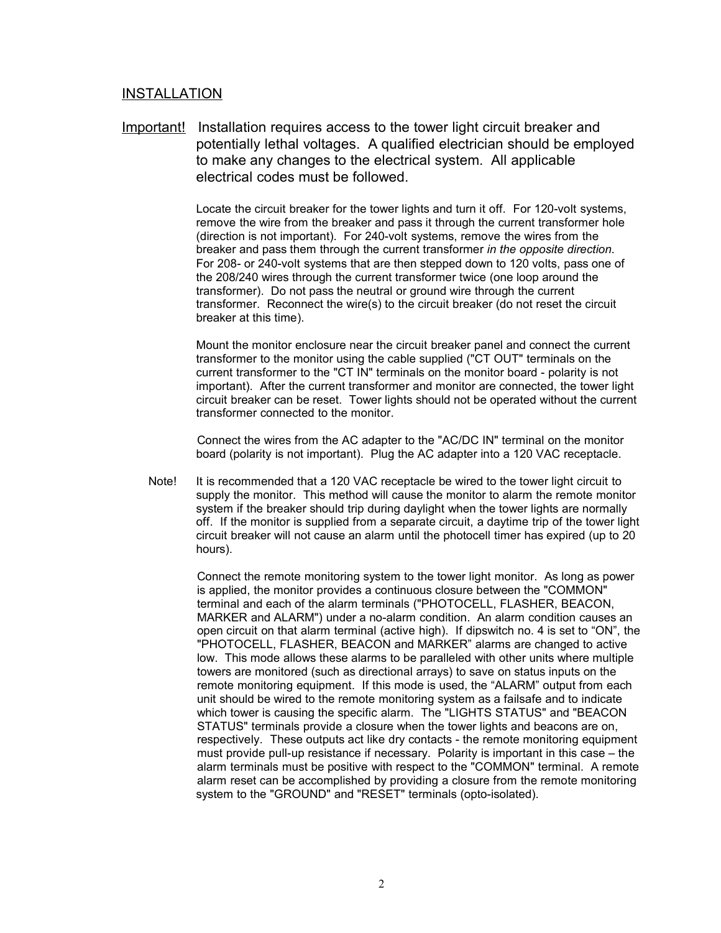## INSTALLATION

Important! Installation requires access to the tower light circuit breaker and potentially lethal voltages. A qualified electrician should be employed to make any changes to the electrical system. All applicable electrical codes must be followed.

> Locate the circuit breaker for the tower lights and turn it off. For 120-volt systems, remove the wire from the breaker and pass it through the current transformer hole (direction is not important). For 240-volt systems, remove the wires from the breaker and pass them through the current transformer *in the opposite direction*. For 208- or 240-volt systems that are then stepped down to 120 volts, pass one of the 208/240 wires through the current transformer twice (one loop around the transformer). Do not pass the neutral or ground wire through the current transformer. Reconnect the wire(s) to the circuit breaker (do not reset the circuit breaker at this time).

Mount the monitor enclosure near the circuit breaker panel and connect the current transformer to the monitor using the cable supplied ("CT OUT" terminals on the current transformer to the "CT IN" terminals on the monitor board - polarity is not important). After the current transformer and monitor are connected, the tower light circuit breaker can be reset. Tower lights should not be operated without the current transformer connected to the monitor.

Connect the wires from the AC adapter to the "AC/DC IN" terminal on the monitor board (polarity is not important). Plug the AC adapter into a 120 VAC receptacle.

Note! It is recommended that a 120 VAC receptacle be wired to the tower light circuit to supply the monitor. This method will cause the monitor to alarm the remote monitor system if the breaker should trip during daylight when the tower lights are normally off. If the monitor is supplied from a separate circuit, a daytime trip of the tower light circuit breaker will not cause an alarm until the photocell timer has expired (up to 20 hours).

> Connect the remote monitoring system to the tower light monitor. As long as power is applied, the monitor provides a continuous closure between the "COMMON" terminal and each of the alarm terminals ("PHOTOCELL, FLASHER, BEACON, MARKER and ALARM") under a no-alarm condition. An alarm condition causes an open circuit on that alarm terminal (active high). If dipswitch no. 4 is set to "ON", the "PHOTOCELL, FLASHER, BEACON and MARKER" alarms are changed to active low. This mode allows these alarms to be paralleled with other units where multiple towers are monitored (such as directional arrays) to save on status inputs on the remote monitoring equipment. If this mode is used, the "ALARM" output from each unit should be wired to the remote monitoring system as a failsafe and to indicate which tower is causing the specific alarm. The "LIGHTS STATUS" and "BEACON STATUS" terminals provide a closure when the tower lights and beacons are on, respectively. These outputs act like dry contacts - the remote monitoring equipment must provide pull-up resistance if necessary. Polarity is important in this case – the alarm terminals must be positive with respect to the "COMMON" terminal. A remote alarm reset can be accomplished by providing a closure from the remote monitoring system to the "GROUND" and "RESET" terminals (opto-isolated).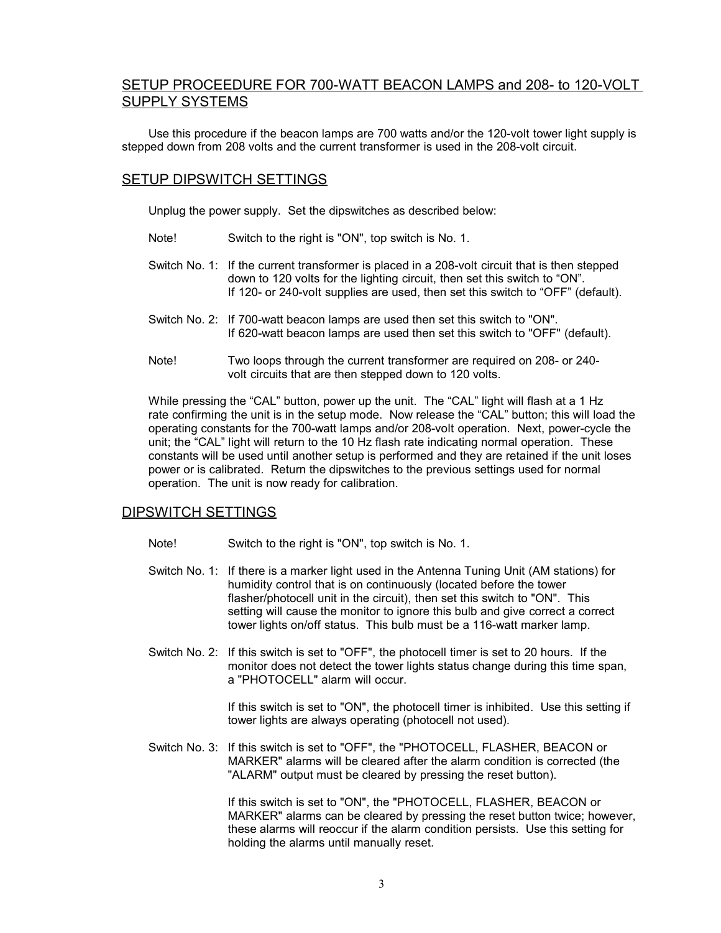# SETUP PROCEEDURE FOR 700-WATT BEACON LAMPS and 208- to 120-VOLT SUPPLY SYSTEMS

Use this procedure if the beacon lamps are 700 watts and/or the 120-volt tower light supply is stepped down from 208 volts and the current transformer is used in the 208-volt circuit.

## SETUP DIPSWITCH SETTINGS

Unplug the power supply. Set the dipswitches as described below:

- Note! Switch to the right is "ON", top switch is No. 1.
- Switch No. 1: If the current transformer is placed in a 208-volt circuit that is then stepped down to 120 volts for the lighting circuit, then set this switch to "ON". If 120- or 240-volt supplies are used, then set this switch to "OFF" (default).
- Switch No. 2: If 700-watt beacon lamps are used then set this switch to "ON". If 620-watt beacon lamps are used then set this switch to "OFF" (default).
- Note! Two loops through the current transformer are required on 208- or 240 volt circuits that are then stepped down to 120 volts.

While pressing the "CAL" button, power up the unit. The "CAL" light will flash at a 1 Hz rate confirming the unit is in the setup mode. Now release the "CAL" button; this will load the operating constants for the 700-watt lamps and/or 208-volt operation. Next, power-cycle the unit; the "CAL" light will return to the 10 Hz flash rate indicating normal operation. These constants will be used until another setup is performed and they are retained if the unit loses power or is calibrated. Return the dipswitches to the previous settings used for normal operation. The unit is now ready for calibration.

#### DIPSWITCH SETTINGS

- Note! Switch to the right is "ON", top switch is No. 1.
- Switch No. 1: If there is a marker light used in the Antenna Tuning Unit (AM stations) for humidity control that is on continuously (located before the tower flasher/photocell unit in the circuit), then set this switch to "ON". This setting will cause the monitor to ignore this bulb and give correct a correct tower lights on/off status. This bulb must be a 116-watt marker lamp.
- Switch No. 2: If this switch is set to "OFF", the photocell timer is set to 20 hours. If the monitor does not detect the tower lights status change during this time span, a "PHOTOCELL" alarm will occur.

If this switch is set to "ON", the photocell timer is inhibited. Use this setting if tower lights are always operating (photocell not used).

Switch No. 3: If this switch is set to "OFF", the "PHOTOCELL, FLASHER, BEACON or MARKER" alarms will be cleared after the alarm condition is corrected (the "ALARM" output must be cleared by pressing the reset button).

> If this switch is set to "ON", the "PHOTOCELL, FLASHER, BEACON or MARKER" alarms can be cleared by pressing the reset button twice; however, these alarms will reoccur if the alarm condition persists. Use this setting for holding the alarms until manually reset.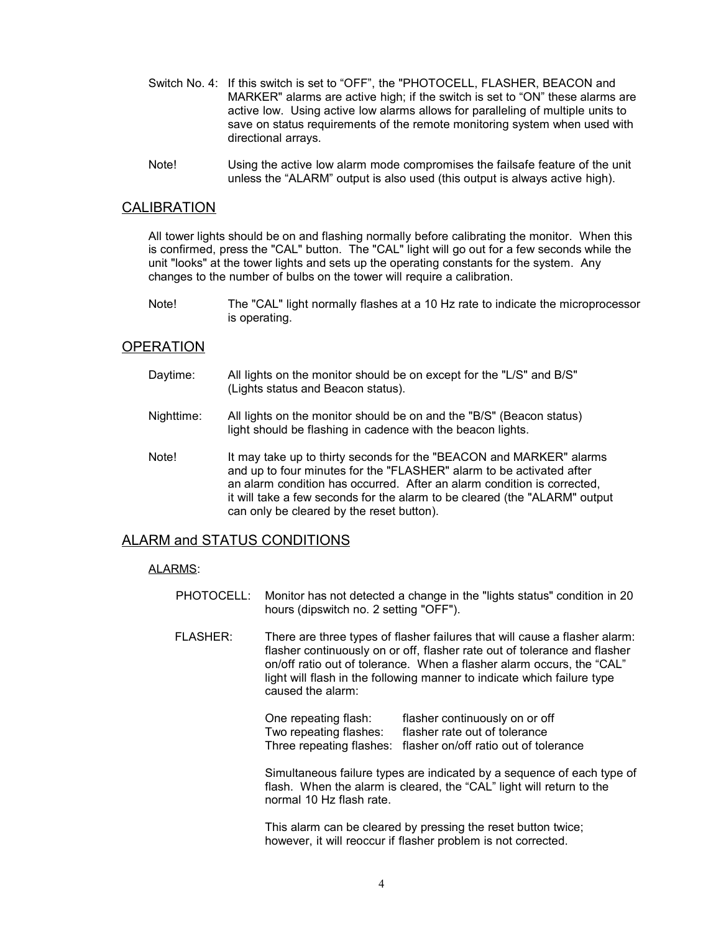- Switch No. 4: If this switch is set to "OFF", the "PHOTOCELL, FLASHER, BEACON and MARKER" alarms are active high; if the switch is set to "ON" these alarms are active low. Using active low alarms allows for paralleling of multiple units to save on status requirements of the remote monitoring system when used with directional arrays.
- Note! Using the active low alarm mode compromises the failsafe feature of the unit unless the "ALARM" output is also used (this output is always active high).

## CALIBRATION

All tower lights should be on and flashing normally before calibrating the monitor. When this is confirmed, press the "CAL" button. The "CAL" light will go out for a few seconds while the unit "looks" at the tower lights and sets up the operating constants for the system. Any changes to the number of bulbs on the tower will require a calibration.

Note! The "CAL" light normally flashes at a 10 Hz rate to indicate the microprocessor is operating.

#### **OPERATION**

- Daytime: All lights on the monitor should be on except for the "L/S" and B/S" (Lights status and Beacon status).
- Nighttime: All lights on the monitor should be on and the "B/S" (Beacon status) light should be flashing in cadence with the beacon lights.
- Note! It may take up to thirty seconds for the "BEACON and MARKER" alarms and up to four minutes for the "FLASHER" alarm to be activated after an alarm condition has occurred. After an alarm condition is corrected, it will take a few seconds for the alarm to be cleared (the "ALARM" output can only be cleared by the reset button).

### ALARM and STATUS CONDITIONS

#### ALARMS:

- PHOTOCELL: Monitor has not detected a change in the "lights status" condition in 20 hours (dipswitch no. 2 setting "OFF").
- FLASHER: There are three types of flasher failures that will cause a flasher alarm: flasher continuously on or off, flasher rate out of tolerance and flasher on/off ratio out of tolerance. When a flasher alarm occurs, the "CAL" light will flash in the following manner to indicate which failure type caused the alarm:

One repeating flash: flasher continuously on or off<br>Two repeating flashes: flasher rate out of tolerance Two repeating flashes: Three repeating flashes: flasher on/off ratio out of tolerance

Simultaneous failure types are indicated by a sequence of each type of flash. When the alarm is cleared, the "CAL" light will return to the normal 10 Hz flash rate.

This alarm can be cleared by pressing the reset button twice; however, it will reoccur if flasher problem is not corrected.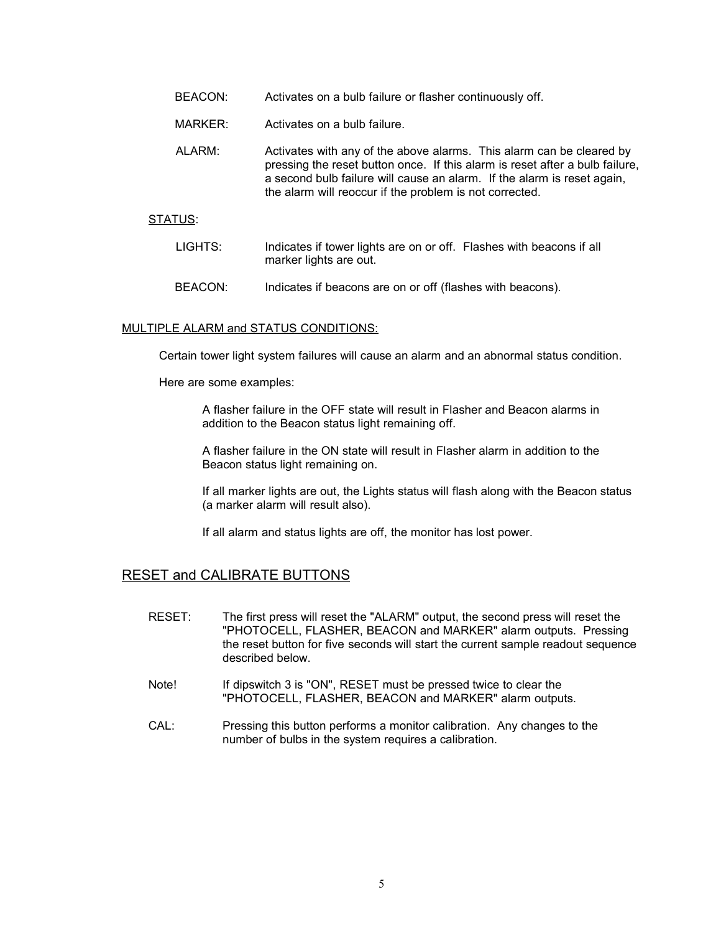- BEACON: Activates on a bulb failure or flasher continuously off.
- MARKER: Activates on a bulb failure.
- ALARM: Activates with any of the above alarms. This alarm can be cleared by pressing the reset button once. If this alarm is reset after a bulb failure, a second bulb failure will cause an alarm. If the alarm is reset again, the alarm will reoccur if the problem is not corrected.

#### STATUS:

- LIGHTS: Indicates if tower lights are on or off. Flashes with beacons if all marker lights are out.
- BEACON: Indicates if beacons are on or off (flashes with beacons).

#### MULTIPLE ALARM and STATUS CONDITIONS:

Certain tower light system failures will cause an alarm and an abnormal status condition.

Here are some examples:

A flasher failure in the OFF state will result in Flasher and Beacon alarms in addition to the Beacon status light remaining off.

A flasher failure in the ON state will result in Flasher alarm in addition to the Beacon status light remaining on.

If all marker lights are out, the Lights status will flash along with the Beacon status (a marker alarm will result also).

If all alarm and status lights are off, the monitor has lost power.

# RESET and CALIBRATE BUTTONS

- RESET: The first press will reset the "ALARM" output, the second press will reset the "PHOTOCELL, FLASHER, BEACON and MARKER" alarm outputs. Pressing the reset button for five seconds will start the current sample readout sequence described below.
- Note! If dipswitch 3 is "ON", RESET must be pressed twice to clear the "PHOTOCELL, FLASHER, BEACON and MARKER" alarm outputs.
- CAL: Pressing this button performs a monitor calibration. Any changes to the number of bulbs in the system requires a calibration.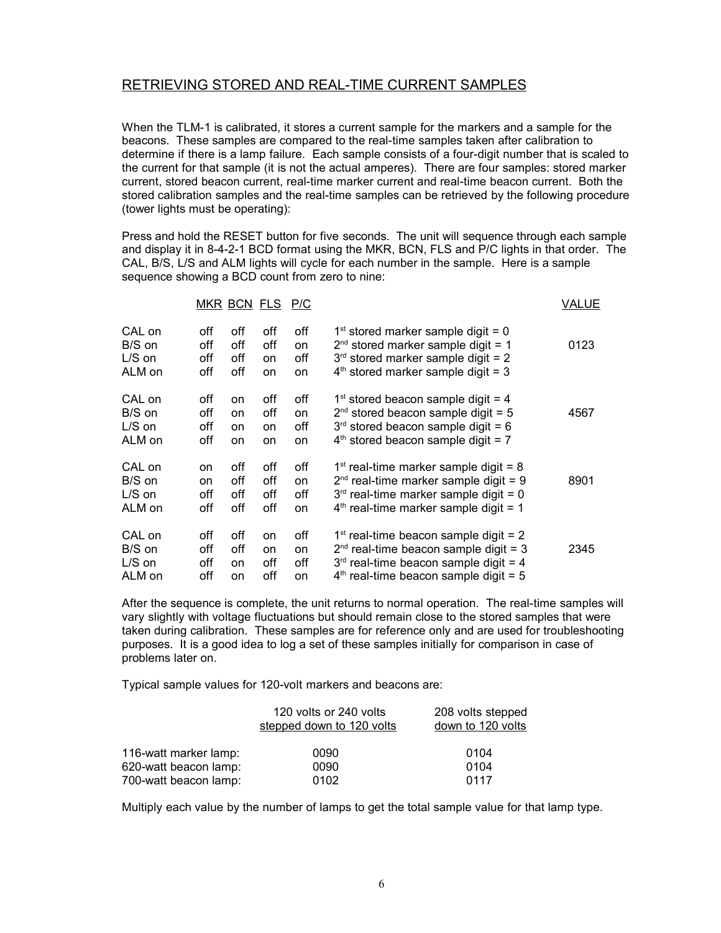# RETRIEVING STORED AND REAL-TIME CURRENT SAMPLES

When the TLM-1 is calibrated, it stores a current sample for the markers and a sample for the beacons. These samples are compared to the real-time samples taken after calibration to determine if there is a lamp failure. Each sample consists of a four-digit number that is scaled to the current for that sample (it is not the actual amperes). There are four samples: stored marker current, stored beacon current, real-time marker current and real-time beacon current. Both the stored calibration samples and the real-time samples can be retrieved by the following procedure (tower lights must be operating):

Press and hold the RESET button for five seconds. The unit will sequence through each sample and display it in 8-4-2-1 BCD format using the MKR, BCN, FLS and P/C lights in that order. The CAL, B/S, L/S and ALM lights will cycle for each number in the sample. Here is a sample sequence showing a BCD count from zero to nine:

| MKR BCN FLS P/C |     |     |     |     | <b>VALUE</b>                            |      |
|-----------------|-----|-----|-----|-----|-----------------------------------------|------|
| CAL on          | off | off | off | off | $1st$ stored marker sample digit = 0    | 0123 |
| B/S on          | off | off | off | on  | $2^{nd}$ stored marker sample digit = 1 |      |
| $L/S$ on        | off | off | on  | off | $3rd$ stored marker sample digit = 2    |      |
| ALM on          | off | off | on  | on  | $4th$ stored marker sample digit = 3    |      |
| CAL on          | off | on  | off | off | $1st$ stored beacon sample digit = 4    | 4567 |
| B/S on          | off | on  | off | on  | $2^{nd}$ stored beacon sample digit = 5 |      |
| $L/S$ on        | off | on  | on  | off | $3rd$ stored beacon sample digit = 6    |      |
| ALM on          | off | on  | on  | on  | $4th$ stored beacon sample digit = 7    |      |
| CAL on          | on  | off | off | off | $1st$ real-time marker sample digit = 8 | 8901 |
| B/S on          | on  | off | off | on  | $2nd$ real-time marker sample digit = 9 |      |
| $L/S$ on        | off | off | off | off | $3rd$ real-time marker sample digit = 0 |      |
| ALM on          | off | off | off | on  | $4th$ real-time marker sample digit = 1 |      |
| CAL on          | off | off | on  | off | $1st$ real-time beacon sample digit = 2 | 2345 |
| B/S on          | off | off | on  | on  | $2nd$ real-time beacon sample digit = 3 |      |
| $L/S$ on        | off | on  | off | off | $3rd$ real-time beacon sample digit = 4 |      |
| ALM on          | off | on  | off | on  | $4th$ real-time beacon sample digit = 5 |      |

After the sequence is complete, the unit returns to normal operation. The real-time samples will vary slightly with voltage fluctuations but should remain close to the stored samples that were taken during calibration. These samples are for reference only and are used for troubleshooting purposes. It is a good idea to log a set of these samples initially for comparison in case of problems later on.

Typical sample values for 120-volt markers and beacons are:

|                       | 120 volts or 240 volts<br>stepped down to 120 volts | 208 volts stepped<br>down to 120 volts |
|-----------------------|-----------------------------------------------------|----------------------------------------|
| 116-watt marker lamp: | 0090                                                | 0104                                   |
| 620-watt beacon lamp: | 0090                                                | 0104                                   |
| 700-watt beacon lamp: | 0102                                                | 0117                                   |

Multiply each value by the number of lamps to get the total sample value for that lamp type.